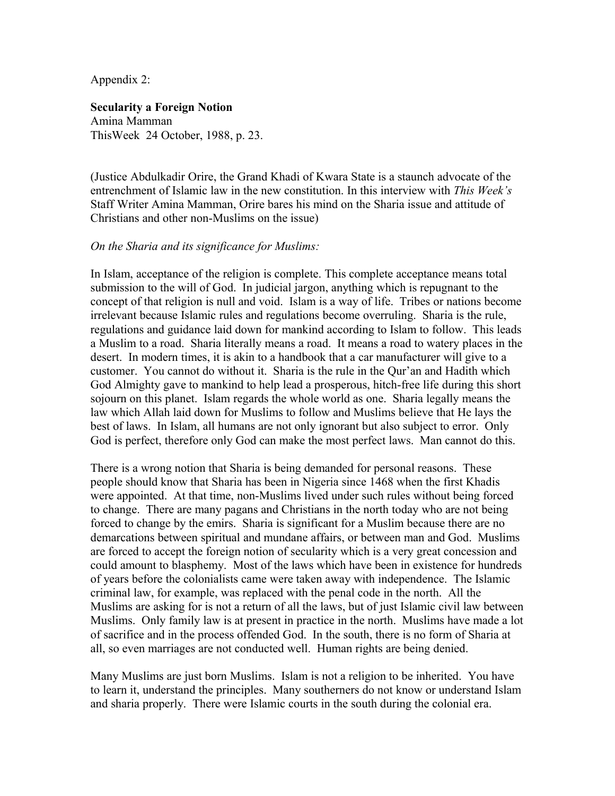Appendix 2:

#### **Secularity a Foreign Notion**

Amina Mamman ThisWeek 24 October, 1988, p. 23.

(Justice Abdulkadir Orire, the Grand Khadi of Kwara State is a staunch advocate of the entrenchment of Islamic law in the new constitution. In this interview with *This Week's* Staff Writer Amina Mamman, Orire bares his mind on the Sharia issue and attitude of Christians and other non-Muslims on the issue)

#### *On the Sharia and its significance for Muslims:*

In Islam, acceptance of the religion is complete. This complete acceptance means total submission to the will of God. In judicial jargon, anything which is repugnant to the concept of that religion is null and void. Islam is a way of life. Tribes or nations become irrelevant because Islamic rules and regulations become overruling. Sharia is the rule, regulations and guidance laid down for mankind according to Islam to follow. This leads a Muslim to a road. Sharia literally means a road. It means a road to watery places in the desert. In modern times, it is akin to a handbook that a car manufacturer will give to a customer. You cannot do without it. Sharia is the rule in the Qur'an and Hadith which God Almighty gave to mankind to help lead a prosperous, hitch-free life during this short sojourn on this planet. Islam regards the whole world as one. Sharia legally means the law which Allah laid down for Muslims to follow and Muslims believe that He lays the best of laws. In Islam, all humans are not only ignorant but also subject to error. Only God is perfect, therefore only God can make the most perfect laws. Man cannot do this.

There is a wrong notion that Sharia is being demanded for personal reasons. These people should know that Sharia has been in Nigeria since 1468 when the first Khadis were appointed. At that time, non-Muslims lived under such rules without being forced to change. There are many pagans and Christians in the north today who are not being forced to change by the emirs. Sharia is significant for a Muslim because there are no demarcations between spiritual and mundane affairs, or between man and God. Muslims are forced to accept the foreign notion of secularity which is a very great concession and could amount to blasphemy. Most of the laws which have been in existence for hundreds of years before the colonialists came were taken away with independence. The Islamic criminal law, for example, was replaced with the penal code in the north. All the Muslims are asking for is not a return of all the laws, but of just Islamic civil law between Muslims. Only family law is at present in practice in the north. Muslims have made a lot of sacrifice and in the process offended God. In the south, there is no form of Sharia at all, so even marriages are not conducted well. Human rights are being denied.

Many Muslims are just born Muslims. Islam is not a religion to be inherited. You have to learn it, understand the principles. Many southerners do not know or understand Islam and sharia properly. There were Islamic courts in the south during the colonial era.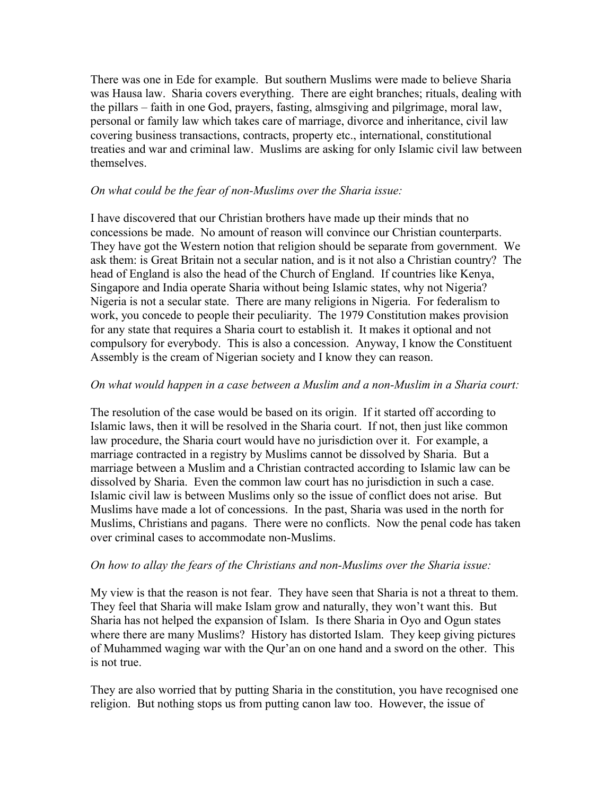There was one in Ede for example. But southern Muslims were made to believe Sharia was Hausa law. Sharia covers everything. There are eight branches; rituals, dealing with the pillars – faith in one God, prayers, fasting, almsgiving and pilgrimage, moral law, personal or family law which takes care of marriage, divorce and inheritance, civil law covering business transactions, contracts, property etc., international, constitutional treaties and war and criminal law. Muslims are asking for only Islamic civil law between themselves.

## *On what could be the fear of non-Muslims over the Sharia issue:*

I have discovered that our Christian brothers have made up their minds that no concessions be made. No amount of reason will convince our Christian counterparts. They have got the Western notion that religion should be separate from government. We ask them: is Great Britain not a secular nation, and is it not also a Christian country? The head of England is also the head of the Church of England. If countries like Kenya, Singapore and India operate Sharia without being Islamic states, why not Nigeria? Nigeria is not a secular state. There are many religions in Nigeria. For federalism to work, you concede to people their peculiarity. The 1979 Constitution makes provision for any state that requires a Sharia court to establish it. It makes it optional and not compulsory for everybody. This is also a concession. Anyway, I know the Constituent Assembly is the cream of Nigerian society and I know they can reason.

# *On what would happen in a case between a Muslim and a non-Muslim in a Sharia court:*

The resolution of the case would be based on its origin. If it started off according to Islamic laws, then it will be resolved in the Sharia court. If not, then just like common law procedure, the Sharia court would have no jurisdiction over it. For example, a marriage contracted in a registry by Muslims cannot be dissolved by Sharia. But a marriage between a Muslim and a Christian contracted according to Islamic law can be dissolved by Sharia. Even the common law court has no jurisdiction in such a case. Islamic civil law is between Muslims only so the issue of conflict does not arise. But Muslims have made a lot of concessions. In the past, Sharia was used in the north for Muslims, Christians and pagans. There were no conflicts. Now the penal code has taken over criminal cases to accommodate non-Muslims.

## *On how to allay the fears of the Christians and non-Muslims over the Sharia issue:*

My view is that the reason is not fear. They have seen that Sharia is not a threat to them. They feel that Sharia will make Islam grow and naturally, they won't want this. But Sharia has not helped the expansion of Islam. Is there Sharia in Oyo and Ogun states where there are many Muslims? History has distorted Islam. They keep giving pictures of Muhammed waging war with the Qur'an on one hand and a sword on the other. This is not true.

They are also worried that by putting Sharia in the constitution, you have recognised one religion. But nothing stops us from putting canon law too. However, the issue of